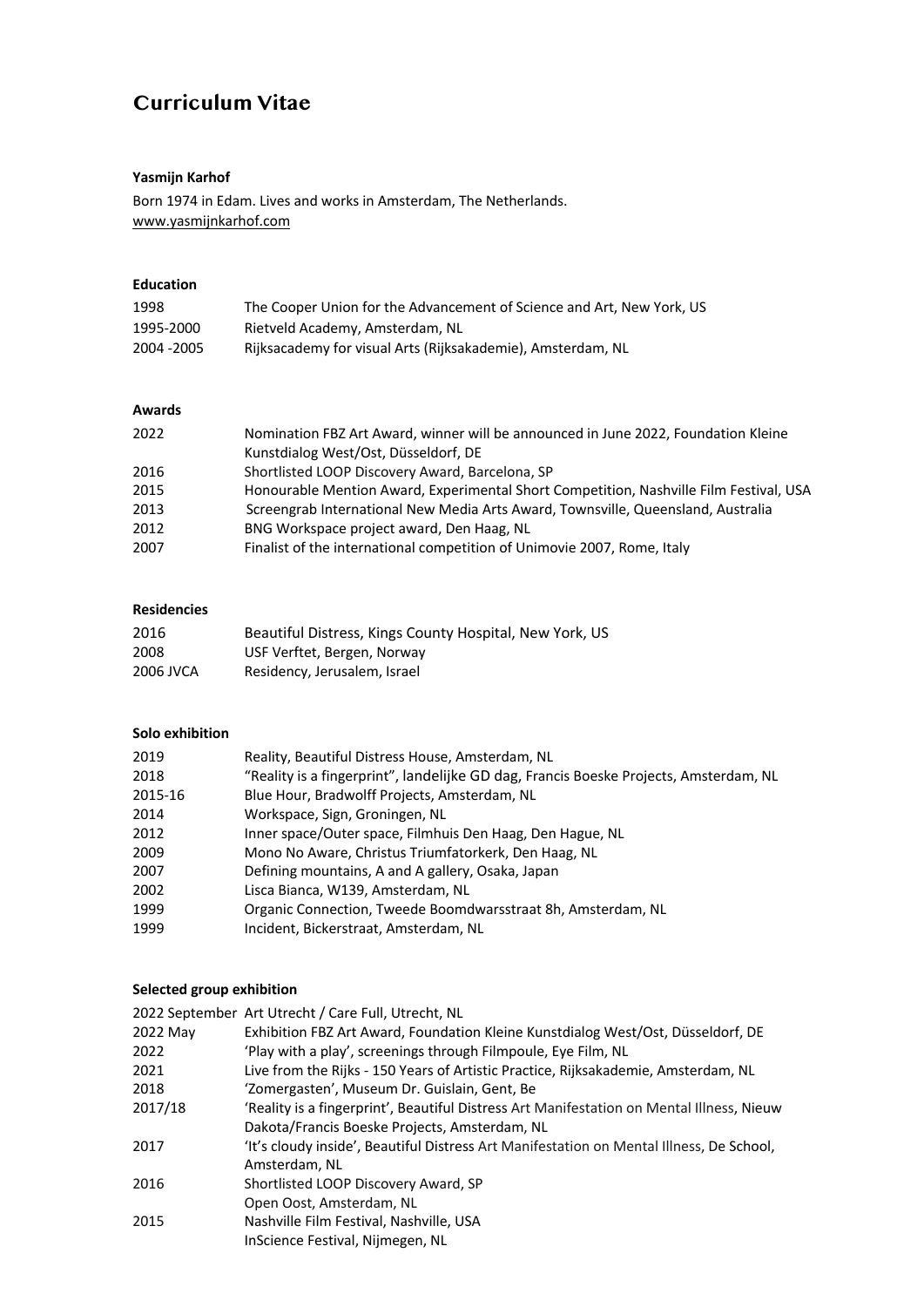# **Curriculum Vitae**

## **Yasmijn Karhof**

Born 1974 in Edam. Lives and works in Amsterdam, The Netherlands. www.yasmijnkarhof.com

## **Education**

| 1998        | The Cooper Union for the Advancement of Science and Art. New York, US |
|-------------|-----------------------------------------------------------------------|
| 1995-2000   | Rietveld Academy, Amsterdam, NL                                       |
| 2004 - 2005 | Rijksacademy for visual Arts (Rijksakademie), Amsterdam, NL           |

## **Awards**

| 2022 | Nomination FBZ Art Award, winner will be announced in June 2022, Foundation Kleine     |
|------|----------------------------------------------------------------------------------------|
|      | Kunstdialog West/Ost, Düsseldorf, DE                                                   |
| 2016 | Shortlisted LOOP Discovery Award, Barcelona, SP                                        |
| 2015 | Honourable Mention Award, Experimental Short Competition, Nashville Film Festival, USA |
| 2013 | Screengrab International New Media Arts Award, Townsville, Queensland, Australia       |
| 2012 | BNG Workspace project award, Den Haag, NL                                              |
| 2007 | Finalist of the international competition of Unimovie 2007, Rome, Italy                |

## **Residencies**

| 2016      | Beautiful Distress, Kings County Hospital, New York, US |
|-----------|---------------------------------------------------------|
| 2008      | USF Verftet, Bergen, Norway                             |
| 2006 JVCA | Residency, Jerusalem, Israel                            |

### **Solo exhibition**

| 2019    | Reality, Beautiful Distress House, Amsterdam, NL                                      |
|---------|---------------------------------------------------------------------------------------|
| 2018    | "Reality is a fingerprint", landelijke GD dag, Francis Boeske Projects, Amsterdam, NL |
| 2015-16 | Blue Hour, Bradwolff Projects, Amsterdam, NL                                          |
| 2014    | Workspace, Sign, Groningen, NL                                                        |
| 2012    | Inner space/Outer space, Filmhuis Den Haag, Den Hague, NL                             |
| 2009    | Mono No Aware, Christus Triumfatorkerk, Den Haag, NL                                  |
| 2007    | Defining mountains, A and A gallery, Osaka, Japan                                     |
| 2002    | Lisca Bianca, W139, Amsterdam, NL                                                     |
| 1999    | Organic Connection, Tweede Boomdwarsstraat 8h, Amsterdam, NL                          |
| 1999    | Incident, Bickerstraat, Amsterdam, NL                                                 |

# **Selected group exhibition**

|          | 2022 September Art Utrecht / Care Full, Utrecht, NL                                       |
|----------|-------------------------------------------------------------------------------------------|
| 2022 May | Exhibition FBZ Art Award, Foundation Kleine Kunstdialog West/Ost, Düsseldorf, DE          |
| 2022     | 'Play with a play', screenings through Filmpoule, Eye Film, NL                            |
| 2021     | Live from the Rijks - 150 Years of Artistic Practice, Rijksakademie, Amsterdam, NL        |
| 2018     | 'Zomergasten', Museum Dr. Guislain, Gent, Be                                              |
| 2017/18  | 'Reality is a fingerprint', Beautiful Distress Art Manifestation on Mental Illness, Nieuw |
|          | Dakota/Francis Boeske Projects, Amsterdam, NL                                             |
| 2017     | 'It's cloudy inside', Beautiful Distress Art Manifestation on Mental Illness, De School,  |
|          | Amsterdam. NL                                                                             |
| 2016     | Shortlisted LOOP Discovery Award, SP                                                      |
|          | Open Oost, Amsterdam, NL                                                                  |
| 2015     | Nashville Film Festival, Nashville, USA                                                   |
|          | InScience Festival, Nijmegen, NL                                                          |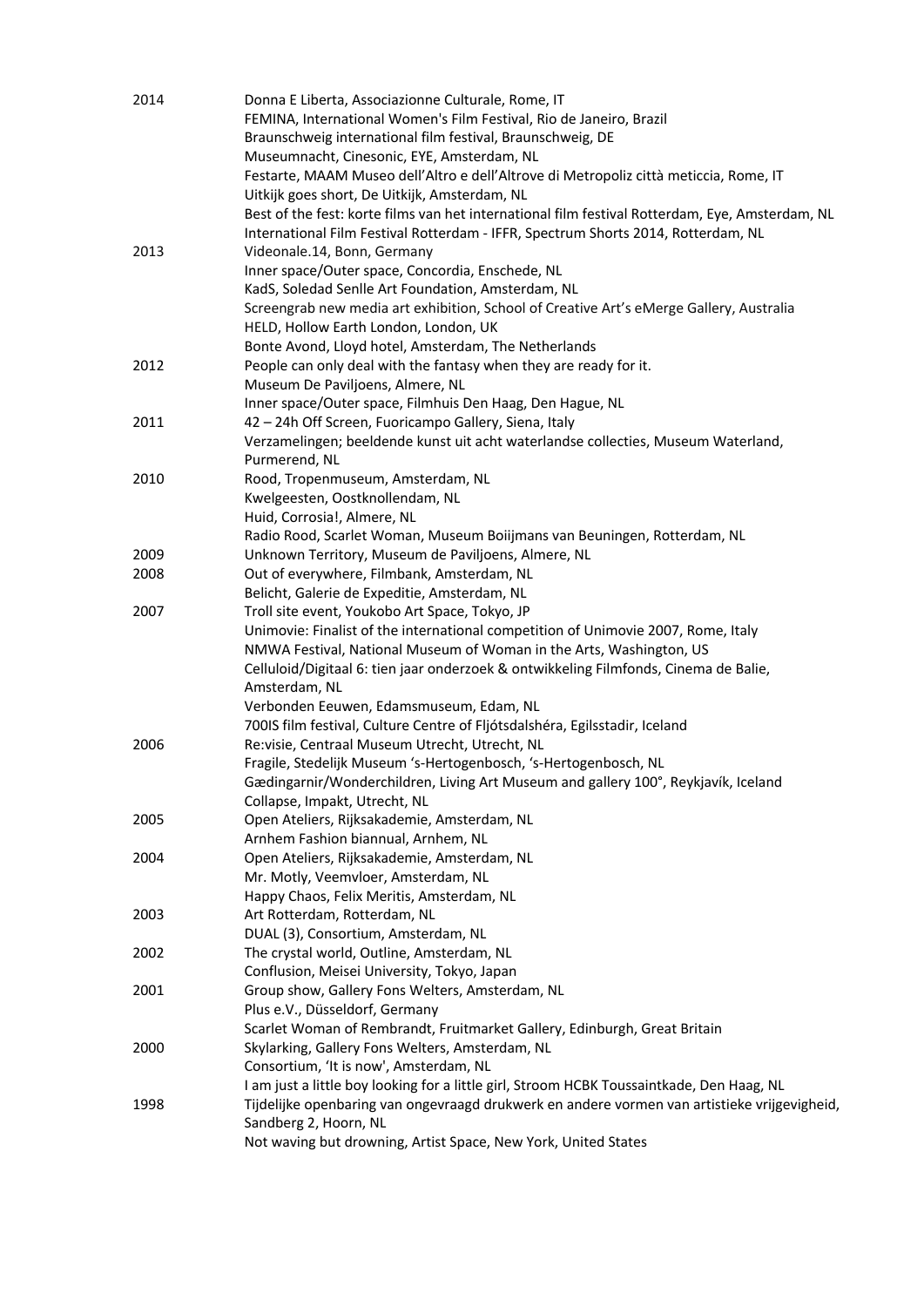| 2014 | Donna E Liberta, Associazionne Culturale, Rome, IT<br>FEMINA, International Women's Film Festival, Rio de Janeiro, Brazil<br>Braunschweig international film festival, Braunschweig, DE |
|------|-----------------------------------------------------------------------------------------------------------------------------------------------------------------------------------------|
|      | Museumnacht, Cinesonic, EYE, Amsterdam, NL<br>Festarte, MAAM Museo dell'Altro e dell'Altrove di Metropoliz città meticcia, Rome, IT                                                     |
|      | Uitkijk goes short, De Uitkijk, Amsterdam, NL                                                                                                                                           |
|      | Best of the fest: korte films van het international film festival Rotterdam, Eye, Amsterdam, NL<br>International Film Festival Rotterdam - IFFR, Spectrum Shorts 2014, Rotterdam, NL    |
| 2013 | Videonale.14, Bonn, Germany                                                                                                                                                             |
|      | Inner space/Outer space, Concordia, Enschede, NL                                                                                                                                        |
|      | KadS, Soledad Senlle Art Foundation, Amsterdam, NL                                                                                                                                      |
|      | Screengrab new media art exhibition, School of Creative Art's eMerge Gallery, Australia                                                                                                 |
|      | HELD, Hollow Earth London, London, UK                                                                                                                                                   |
|      | Bonte Avond, Lloyd hotel, Amsterdam, The Netherlands                                                                                                                                    |
| 2012 | People can only deal with the fantasy when they are ready for it.                                                                                                                       |
|      | Museum De Paviljoens, Almere, NL                                                                                                                                                        |
|      | Inner space/Outer space, Filmhuis Den Haag, Den Hague, NL                                                                                                                               |
| 2011 | 42 - 24h Off Screen, Fuoricampo Gallery, Siena, Italy                                                                                                                                   |
|      | Verzamelingen; beeldende kunst uit acht waterlandse collecties, Museum Waterland,                                                                                                       |
| 2010 | Purmerend, NL<br>Rood, Tropenmuseum, Amsterdam, NL                                                                                                                                      |
|      | Kwelgeesten, Oostknollendam, NL                                                                                                                                                         |
|      | Huid, Corrosia!, Almere, NL                                                                                                                                                             |
|      | Radio Rood, Scarlet Woman, Museum Boiijmans van Beuningen, Rotterdam, NL                                                                                                                |
| 2009 | Unknown Territory, Museum de Paviljoens, Almere, NL                                                                                                                                     |
| 2008 | Out of everywhere, Filmbank, Amsterdam, NL                                                                                                                                              |
|      | Belicht, Galerie de Expeditie, Amsterdam, NL                                                                                                                                            |
| 2007 | Troll site event, Youkobo Art Space, Tokyo, JP                                                                                                                                          |
|      | Unimovie: Finalist of the international competition of Unimovie 2007, Rome, Italy                                                                                                       |
|      | NMWA Festival, National Museum of Woman in the Arts, Washington, US                                                                                                                     |
|      | Celluloid/Digitaal 6: tien jaar onderzoek & ontwikkeling Filmfonds, Cinema de Balie,                                                                                                    |
|      | Amsterdam, NL                                                                                                                                                                           |
|      | Verbonden Eeuwen, Edamsmuseum, Edam, NL                                                                                                                                                 |
|      | 700IS film festival, Culture Centre of Fljótsdalshéra, Egilsstadir, Iceland                                                                                                             |
| 2006 | Re:visie, Centraal Museum Utrecht, Utrecht, NL                                                                                                                                          |
|      | Fragile, Stedelijk Museum 's-Hertogenbosch, 's-Hertogenbosch, NL                                                                                                                        |
|      | Gædingarnir/Wonderchildren, Living Art Museum and gallery 100°, Reykjavík, Iceland                                                                                                      |
|      | Collapse, Impakt, Utrecht, NL                                                                                                                                                           |
| 2005 | Open Ateliers, Rijksakademie, Amsterdam, NL                                                                                                                                             |
|      | Arnhem Fashion biannual, Arnhem, NL                                                                                                                                                     |
| 2004 | Open Ateliers, Rijksakademie, Amsterdam, NL                                                                                                                                             |
|      | Mr. Motly, Veemvloer, Amsterdam, NL                                                                                                                                                     |
|      | Happy Chaos, Felix Meritis, Amsterdam, NL                                                                                                                                               |
| 2003 | Art Rotterdam, Rotterdam, NL                                                                                                                                                            |
|      | DUAL (3), Consortium, Amsterdam, NL                                                                                                                                                     |
| 2002 | The crystal world, Outline, Amsterdam, NL                                                                                                                                               |
|      | Conflusion, Meisei University, Tokyo, Japan                                                                                                                                             |
| 2001 | Group show, Gallery Fons Welters, Amsterdam, NL                                                                                                                                         |
|      | Plus e.V., Düsseldorf, Germany                                                                                                                                                          |
|      | Scarlet Woman of Rembrandt, Fruitmarket Gallery, Edinburgh, Great Britain                                                                                                               |
| 2000 | Skylarking, Gallery Fons Welters, Amsterdam, NL                                                                                                                                         |
|      | Consortium, 'It is now', Amsterdam, NL                                                                                                                                                  |
|      | I am just a little boy looking for a little girl, Stroom HCBK Toussaintkade, Den Haag, NL                                                                                               |
| 1998 | Tijdelijke openbaring van ongevraagd drukwerk en andere vormen van artistieke vrijgevigheid,                                                                                            |
|      | Sandberg 2, Hoorn, NL                                                                                                                                                                   |
|      | Not waving but drowning, Artist Space, New York, United States                                                                                                                          |